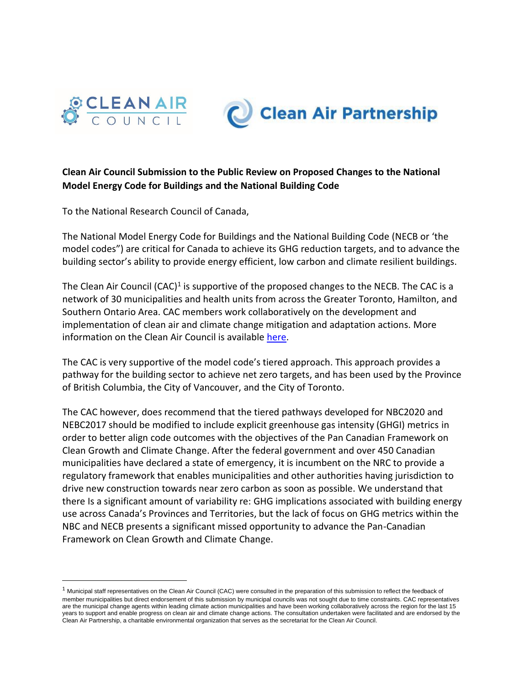



## **Clean Air Council Submission to the Public Review on Proposed Changes to the National Model Energy Code for Buildings and the National Building Code**

To the National Research Council of Canada,

The National Model Energy Code for Buildings and the National Building Code (NECB or 'the model codes") are critical for Canada to achieve its GHG reduction targets, and to advance the building sector's ability to provide energy efficient, low carbon and climate resilient buildings.

The Clean Air Council (CAC)<sup>1</sup> is supportive of the proposed changes to the NECB. The CAC is a network of 30 municipalities and health units from across the Greater Toronto, Hamilton, and Southern Ontario Area. CAC members work collaboratively on the development and implementation of clean air and climate change mitigation and adaptation actions. More information on the Clean Air Council is available [here.](https://cleanairpartnership.org/cac/)

The CAC is very supportive of the model code's tiered approach. This approach provides a pathway for the building sector to achieve net zero targets, and has been used by the Province of British Columbia, the City of Vancouver, and the City of Toronto.

The CAC however, does recommend that the tiered pathways developed for NBC2020 and NEBC2017 should be modified to include explicit greenhouse gas intensity (GHGI) metrics in order to better align code outcomes with the objectives of the Pan Canadian Framework on Clean Growth and Climate Change. After the federal government and over 450 Canadian municipalities have declared a state of emergency, it is incumbent on the NRC to provide a regulatory framework that enables municipalities and other authorities having jurisdiction to drive new construction towards near zero carbon as soon as possible. We understand that there Is a significant amount of variability re: GHG implications associated with building energy use across Canada's Provinces and Territories, but the lack of focus on GHG metrics within the NBC and NECB presents a significant missed opportunity to advance the Pan-Canadian Framework on Clean Growth and Climate Change.

 $1$  Municipal staff representatives on the Clean Air Council (CAC) were consulted in the preparation of this submission to reflect the feedback of member municipalities but direct endorsement of this submission by municipal councils was not sought due to time constraints. CAC representatives are the municipal change agents within leading climate action municipalities and have been working collaboratively across the region for the last 15 years to support and enable progress on clean air and climate change actions. The consultation undertaken were facilitated and are endorsed by the Clean Air Partnership, a charitable environmental organization that serves as the secretariat for the Clean Air Council.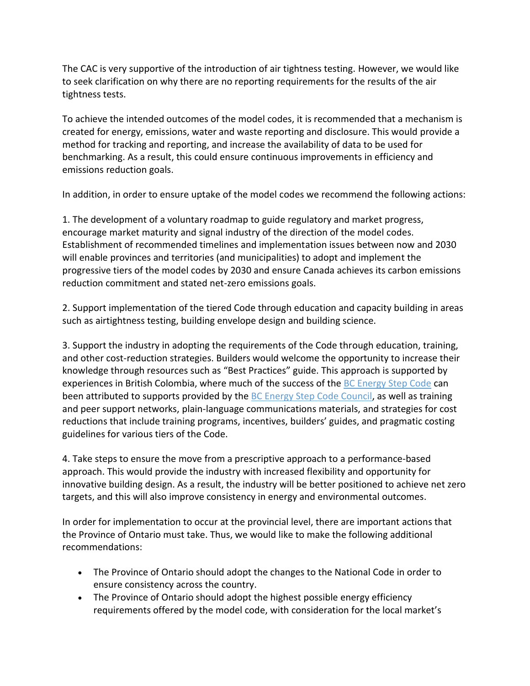The CAC is very supportive of the introduction of air tightness testing. However, we would like to seek clarification on why there are no reporting requirements for the results of the air tightness tests.

To achieve the intended outcomes of the model codes, it is recommended that a mechanism is created for energy, emissions, water and waste reporting and disclosure. This would provide a method for tracking and reporting, and increase the availability of data to be used for benchmarking. As a result, this could ensure continuous improvements in efficiency and emissions reduction goals.

In addition, in order to ensure uptake of the model codes we recommend the following actions:

1. The development of a voluntary roadmap to guide regulatory and market progress, encourage market maturity and signal industry of the direction of the model codes. Establishment of recommended timelines and implementation issues between now and 2030 will enable provinces and territories (and municipalities) to adopt and implement the progressive tiers of the model codes by 2030 and ensure Canada achieves its carbon emissions reduction commitment and stated net-zero emissions goals.

2. Support implementation of the tiered Code through education and capacity building in areas such as airtightness testing, building envelope design and building science.

3. Support the industry in adopting the requirements of the Code through education, training, and other cost-reduction strategies. Builders would welcome the opportunity to increase their knowledge through resources such as "Best Practices" guide. This approach is supported by experiences in British Colombia, where much of the success of the [BC Energy Step Code](https://www2.gov.bc.ca/gov/content/industry/construction-industry/building-codes-standards/energy-efficiency/energy-step-code) can been attributed to supports provided by the [BC Energy Step Code Council,](https://energystepcode.ca/about/) as well as training and peer support networks, plain-language communications materials, and strategies for cost reductions that include training programs, incentives, builders' guides, and pragmatic costing guidelines for various tiers of the Code.

4. Take steps to ensure the move from a prescriptive approach to a performance-based approach. This would provide the industry with increased flexibility and opportunity for innovative building design. As a result, the industry will be better positioned to achieve net zero targets, and this will also improve consistency in energy and environmental outcomes.

In order for implementation to occur at the provincial level, there are important actions that the Province of Ontario must take. Thus, we would like to make the following additional recommendations:

- The Province of Ontario should adopt the changes to the National Code in order to ensure consistency across the country.
- The Province of Ontario should adopt the highest possible energy efficiency requirements offered by the model code, with consideration for the local market's